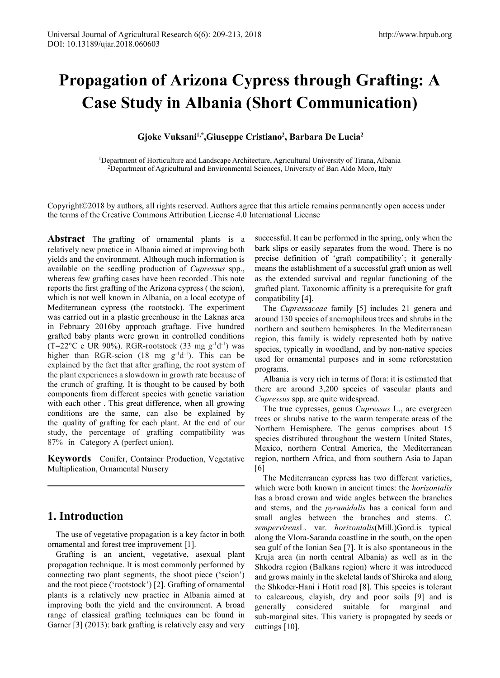# **Propagation of Arizona Cypress through Grafting: A Case Study in Albania (Short Communication)**

#### **Gjoke Vuksani1,\*,Giuseppe Cristiano<sup>2</sup> , Barbara De Lucia<sup>2</sup>**

1Department of Horticulture and Landscape Architecture, Agricultural University of Tirana, Albania 2Department of Agricultural and Environmental Sciences, University of Bari Aldo Moro, Italy

Copyright©2018 by authors, all rights reserved. Authors agree that this article remains permanently open access under the terms of the Creative Commons Attribution License 4.0 International License

**Abstract** The grafting of ornamental plants is a relatively new practice in Albania aimed at improving both yields and the environment. Although much information is available on the seedling production of *Cupressus* spp., whereas few grafting cases have been recorded .This note reports the first grafting of the Arizona cypress ( the scion), which is not well known in Albania, on a local ecotype of Mediterranean cypress (the rootstock). The experiment was carried out in a plastic greenhouse in the Laknas area in February 2016by approach graftage. Five hundred grafted baby plants were grown in controlled conditions  $(T=22^{\circ}C$  e UR 90%). RGR-rootstock (33 mg g<sup>-1</sup>d<sup>-1</sup>) was higher than RGR-scion (18 mg  $g^{-1}d^{-1}$ ). This can be explained by the fact that after grafting, the root system of the plant experiences a slowdown in growth rate because of the crunch of grafting. It is thought to be caused by both components from different species with genetic variation with each other . This great difference, when all growing conditions are the same, can also be explained by the quality of grafting for each plant. At the end of our study, the percentage of grafting compatibility was 87% in Category A (perfect union).

**Keywords** Conifer, Container Production, Vegetative Multiplication, Ornamental Nursery

## **1. Introduction**

The use of vegetative propagation is a key factor in both ornamental and forest tree improvement [1].

Grafting is an ancient, vegetative, asexual plant propagation technique. It is most commonly performed by connecting two plant segments, the shoot piece ('scion') and the root piece ('rootstock') [2]. Grafting of ornamental plants is a relatively new practice in Albania aimed at improving both the yield and the environment. A broad range of classical grafting techniques can be found in Garner [3] (2013): bark grafting is relatively easy and very successful. It can be performed in the spring, only when the bark slips or easily separates from the wood. There is no precise definition of 'graft compatibility'; it generally means the establishment of a successful graft union as well as the extended survival and regular functioning of the grafted plant. Taxonomic affinity is a prerequisite for graft compatibility [4].

The *Cupressaceae* family [5] includes 21 genera and around 130 species of anemophilous trees and shrubs in the northern and southern hemispheres. In the Mediterranean region, this family is widely represented both by native species, typically in woodland, and by non-native species used for ornamental purposes and in some reforestation programs.

Albania is very rich in terms of flora: it is estimated that there are around 3,200 species of vascular plants and *Cupressus* spp. are quite widespread.

The true cypresses, genus *Cupressus* L., are evergreen trees or shrubs native to the warm temperate areas of the Northern Hemisphere. The genus comprises about 15 species distributed throughout the western United States, Mexico, northern Central America, the Mediterranean region, northern Africa, and from southern Asia to Japan [6]

The Mediterranean cypress has two different varieties, which were both known in ancient times: the *horizontalis* has a broad crown and wide angles between the branches and stems, and the *pyramidalis* has a conical form and small angles between the branches and stems. *C. sempervirens*L. var. *horizontalis*(Mill.)Gord.is typical along the Vlora-Saranda coastline in the south, on the open sea gulf of the [Ionian](https://en.wikipedia.org/wiki/Ionian_Sea) Sea [7]. It is also spontaneous in the Kruja area (in north central Albania) as well as in the Shkodra region [\(Balkans](https://en.wikipedia.org/wiki/Balkans) region) where it was introduced and grows mainly in the skeletal lands of Shiroka and along the Shkoder-Hani i Hotit road [8]. This species is tolerant to calcareous, clayish, dry and poor soils [9] and is generally considered suitable for marginal and sub-marginal sites. This variety is propagated by seeds or cuttings [10].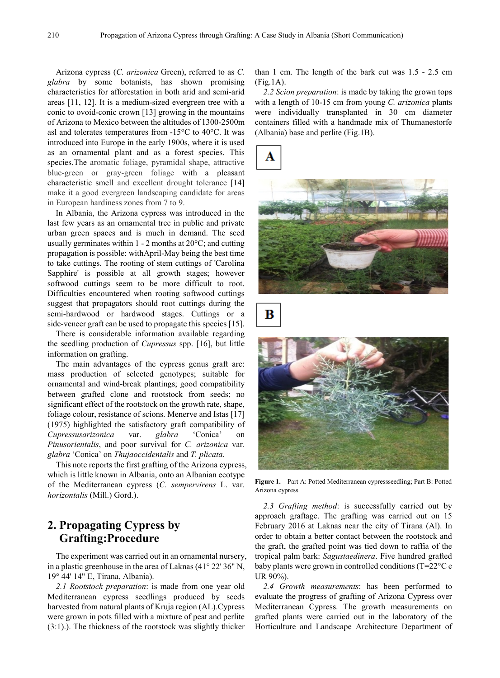Arizona cypress (*C. arizonica* Green), referred to as *C. glabra* by some botanists, has shown promising characteristics for afforestation in both arid and semi-arid areas [11, 12]. It is a medium-sized evergreen tree with a conic to ovoid-conic crown [13] growing in the mountains of Arizona to Mexico between the altitudes of 1300-2500m asl and tolerates temperatures from -15°C to 40°C. It was introduced into Europe in the early 1900s, where it is used as an ornamental plant and as a forest species. This species.The aromatic foliage, pyramidal shape, attractive blue-green or gray-green foliage with a pleasant characteristic smell and excellent drought tolerance [14] make it a good evergreen landscaping candidate for areas in European hardiness zones from 7 to 9.

In Albania, the Arizona cypress was introduced in the last few years as an ornamental tree in public and private urban green spaces and is much in demand. The seed usually germinates within  $1 - 2$  months at  $20^{\circ}$ C; and cutting propagation is possible: withApril-May being the best time to take cuttings. The rooting of stem cuttings of 'Carolina Sapphire' is possible at all growth stages; however softwood cuttings seem to be more difficult to root. Difficulties encountered when rooting softwood cuttings suggest that propagators should root cuttings during the semi-hardwood or hardwood stages. Cuttings or a side-veneer graft can be used to propagate this species [15].

There is considerable information available regarding the seedling production of *Cupressus* spp. [16], but little information on grafting.

The main advantages of the cypress genus graft are: mass production of selected genotypes; suitable for ornamental and wind-break plantings; good compatibility between grafted clone and rootstock from seeds; no significant effect of the rootstock on the growth rate, shape, foliage colour, resistance of scions. Menerve and Istas [17] (1975) highlighted the satisfactory graft compatibility of *Cupressusarizonica* var. *glabra* 'Conica' on *Pinusorientalis*, and poor survival for *C. arizonica* var. *glabra* 'Conica' on *Thujaoccidentalis* and *T. plicata*.

This note reports the first grafting of the Arizona cypress, which is little known in Albania, onto an Albanian ecotype of the Mediterranean cypress (*C. sempervirens* L. var. *horizontalis* (Mill.) Gord.).

## **2. Propagating Cypress by Grafting:Procedure**

The experiment was carried out in an ornamental nursery, in a plastic greenhouse in the area of Laknas (41° 22' 36" N, 19° 44' 14" E, Tirana, Albania).

*2.1 Rootstock preparation*: is made from one year old Mediterranean cypress seedlings produced by seeds harvested from natural plants of Kruja region (AL)*.*Cypress were grown in pots filled with a mixture of peat and perlite (3:1).). The thickness of the rootstock was slightly thicker than 1 cm. The length of the bark cut was 1.5 - 2.5 cm (Fig.1A).

*2.2 Scion preparation*: is made by taking the grown tops with a length of 10-15 cm from young *C. arizonica* plants were individually transplanted in 30 cm diameter containers filled with a handmade mix of Thumanestorfe (Albania) base and perlite (Fig.1B).





B



**Figure 1.** Part A: Potted Mediterranean cypressseedling; Part B: Potted Arizona cypress

*2.3 Grafting method*: is successfully carried out by approach graftage. The grafting was carried out on 15 February 2016 at Laknas near the city of Tirana (Al). In order to obtain a better contact between the rootstock and the graft, the grafted point was tied down to raffia of the tropical palm bark: *Sagustaedinera*. Five hundred grafted baby plants were grown in controlled conditions (T=22°C e UR 90%).

*2.4 Growth measurements*: has been performed to evaluate the progress of grafting of Arizona Cypress over Mediterranean Cypress. The growth measurements on grafted plants were carried out in the laboratory of the Horticulture and Landscape Architecture Department of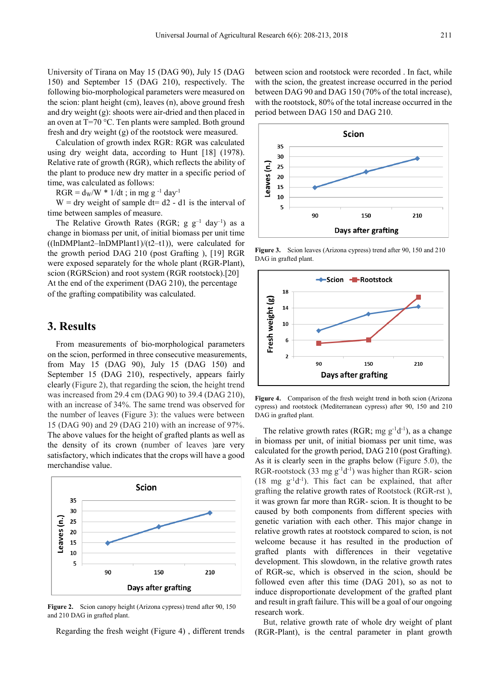University of Tirana on May 15 (DAG 90), July 15 (DAG 150) and September 15 (DAG 210), respectively. The following bio-morphological parameters were measured on the scion: plant height (cm), leaves (n), above ground fresh and dry weight (g): shoots were air-dried and then placed in an oven at T=70 °C. Ten plants were sampled. Both ground fresh and dry weight (g) of the rootstock were measured.

Calculation of growth index RGR: RGR was calculated using dry weight data, according to Hunt [18] (1978). Relative rate of growth (RGR), which reflects the ability of the plant to produce new dry matter in a specific period of time, was calculated as follows:

 $RGR = d_W/W * 1/dt$ ; in mg g<sup>-1</sup> day<sup>-1</sup>

 $W =$  dry weight of sample dt= d2 - d1 is the interval of time between samples of measure.

The Relative Growth Rates (RGR;  $g g^{-1}$  day<sup>-1</sup>) as a change in biomass per unit, of initial biomass per unit time  $((lnDMPlant2-lnDMPlant1)/(t2-t1))$ , were calculated for the growth period DAG 210 (post Grafting ), [19] RGR were exposed separately for the whole plant (RGR-Plant), scion (RGRScion) and root system (RGR rootstock).[20] At the end of the experiment (DAG 210), the percentage of the grafting compatibility was calculated.

#### **3. Results**

From measurements of bio-morphological parameters on the scion, performed in three consecutive measurements, from May 15 (DAG 90), July 15 (DAG 150) and September 15 (DAG 210), respectively, appears fairly clearly (Figure 2), that regarding the scion, the height trend was increased from 29.4 cm (DAG 90) to 39.4 (DAG 210), with an increase of 34%. The same trend was observed for the number of leaves (Figure 3): the values were between 15 (DAG 90) and 29 (DAG 210) with an increase of 97%. The above values for the height of grafted plants as well as the density of its crown (number of leaves )are very satisfactory, which indicates that the crops will have a good merchandise value.



**Figure 2.** Scion canopy height (Arizona cypress) trend after 90, 150 and 210 DAG in grafted plant.

Regarding the fresh weight (Figure 4) , different trends

between scion and rootstock were recorded . In fact, while with the scion, the greatest increase occurred in the period between DAG 90 and DAG 150 (70% of the total increase), with the rootstock, 80% of the total increase occurred in the period between DAG 150 and DAG 210.



**Figure 3.** Scion leaves (Arizona cypress) trend after 90, 150 and 210 DAG in grafted plant.



**Figure 4.** Comparison of the fresh weight trend in both scion (Arizona cypress) and rootstock (Mediterranean cypress) after 90, 150 and 210 DAG in grafted plant.

The relative growth rates (RGR; mg  $g^{-1}d^{-1}$ ), as a change in biomass per unit, of initial biomass per unit time, was calculated for the growth period, DAG 210 (post Grafting). As it is clearly seen in the graphs below (Figure 5.0), the RGR-rootstock (33 mg  $g^{-1}d^{-1}$ ) was higher than RGR- scion  $(18 \text{ mg } g^{-1}d^{-1})$ . This fact can be explained, that after grafting the relative growth rates of Rootstock (RGR-rst ), it was grown far more than RGR- scion. It is thought to be caused by both components from different species with genetic variation with each other. This major change in relative growth rates at rootstock compared to scion, is not welcome because it has resulted in the production of grafted plants with differences in their vegetative development. This slowdown, in the relative growth rates of RGR-sc, which is observed in the scion, should be followed even after this time (DAG 201), so as not to induce disproportionate development of the grafted plant and result in graft failure. This will be a goal of our ongoing research work.

But, relative growth rate of whole dry weight of plant (RGR-Plant), is the central parameter in plant growth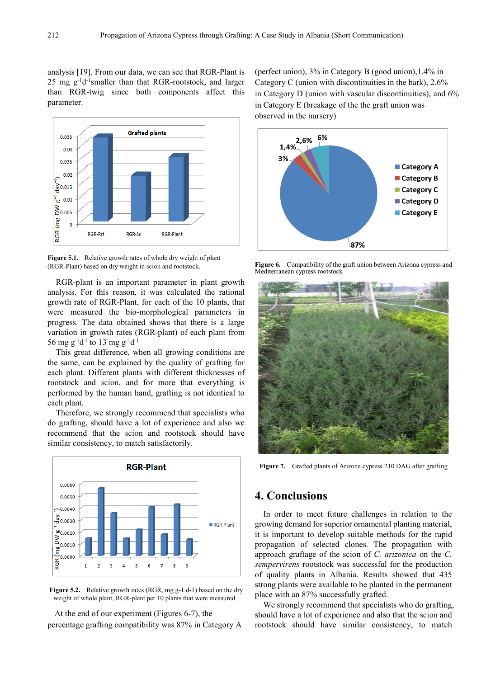analysis [19]. From our data, we can see that RGR-Plant is 25 mg g-1 d-1 smaller than that RGR-rootstock, and larger than RGR-twig since both components affect this parameter.



**Figure 5.1.** Relative growth rates of whole dry weight of plant (RGR-Plant) based on dry weight in scion and rootstock.

RGR-plant is an important parameter in plant growth analysis. For this reason, it was calculated the rational growth rate of RGR-Plant, for each of the 10 plants, that were measured the bio-morphological parameters in progress. The data obtained shows that there is a large variation in growth rates (RGR-plant) of each plant from 56 mg g<sup>-1</sup>d<sup>-1</sup> to 13 mg g<sup>-1</sup>d<sup>-1</sup>

This great difference, when all growing conditions are the same, can be explained by the quality of grafting for each plant. Different plants with different thicknesses of rootstock and scion, and for more that everything is performed by the human hand, grafting is not identical to each plant.

Therefore, we strongly recommend that specialists who do grafting, should have a lot of experience and also we recommend that the scion and rootstock should have similar consistency, to match satisfactorily.



**Figure 5.2.** Relative growth rates (RGR, mg g-1 d-1) based on the dry weight of whole plant, RGR-plant per 10 plants that were measured .

At the end of our experiment (Figures 6-7), the percentage grafting compatibility was 87% in Category A (perfect union), 3% in Category B (good union),1.4% in Category C (union with discontinuities in the bark), 2.6% in Category D (union with vascular discontinuities), and 6% in Category E (breakage of the the graft union was observed in the nursery)



**Figure 6.** Compatibility of the graft union between Arizona cypress and Mediterranean cypress rootstock



**Figure 7.** Grafted plants of Arizona cypress 210 DAG after grafting

#### **4. Conclusions**

In order to meet future challenges in relation to the growing demand for superior ornamental planting material, it is important to develop suitable methods for the rapid propagation of selected clones. The propagation with approach graftage of the scion of *C. arizonica* on the *C. sempervirens* rootstock was successful for the production of quality plants in Albania. Results showed that 435 strong plants were available to be planted in the permanent place with an 87% successfully grafted.

We strongly recommend that specialists who do grafting, should have a lot of experience and also that the scion and rootstock should have similar consistency, to match